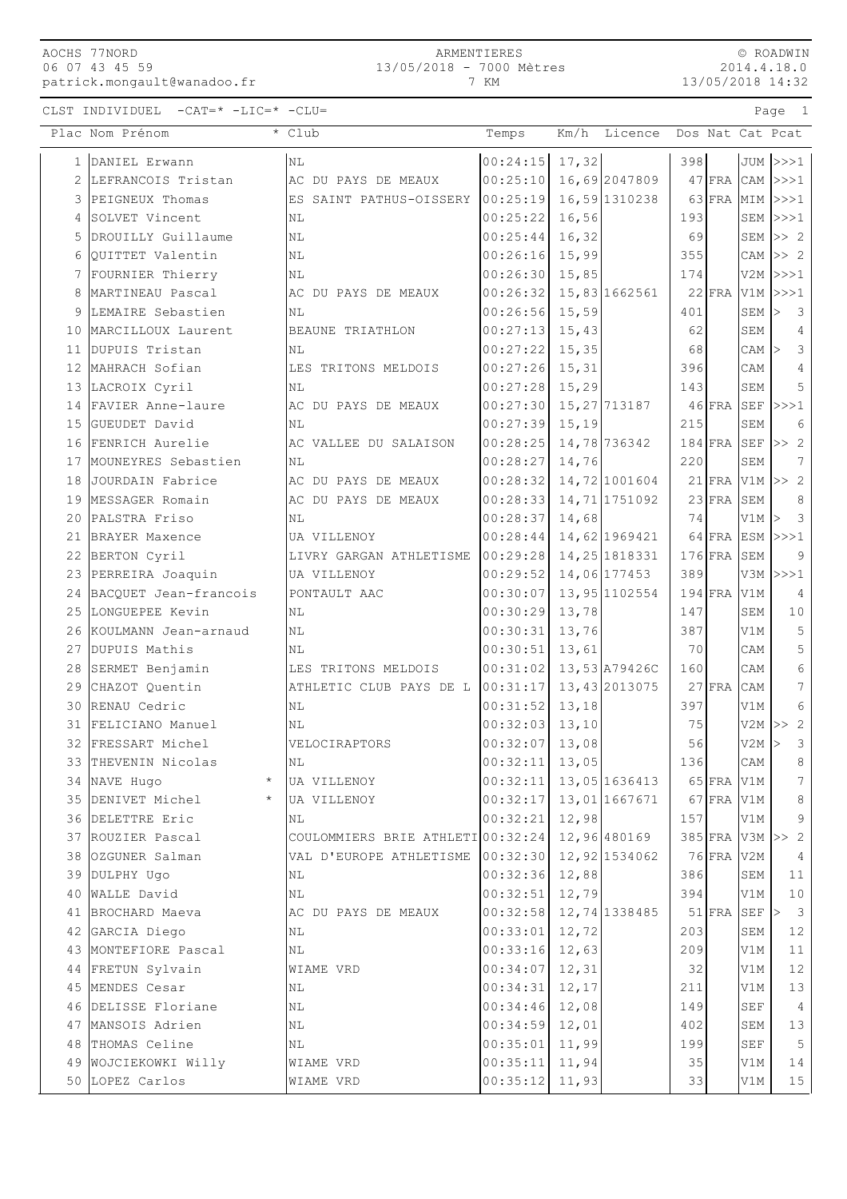## AOCHS 77NORD 06 07 43 45 59 patrick.mongault@wanadoo.fr

## ARMENTIERES 13/05/2018 - 7000 Mètres

7 KM

© ROADWIN 2014.4.18.0 13/05/2018 14:32

CLST INDIVIDUEL -CAT=\* -LIC=\* -CLU= Page 1

|                | Plac Nom Prénom              | * Club                            | Temps              | Km/h<br>Licence |               | Dos Nat Cat Pcat             |
|----------------|------------------------------|-----------------------------------|--------------------|-----------------|---------------|------------------------------|
|                | 1 DANIEL Erwann              | N <sub>L</sub>                    | 00:24:15           | 17,32           | 398           | JUM  >>>1                    |
| $\overline{2}$ | LEFRANCOIS Tristan           | AC DU PAYS DE MEAUX               | 00:25:10           | 16,69 2047809   |               | $47$ FRA CAM $>>1$           |
| 3              | PEIGNEUX Thomas              | ES SAINT PATHUS-OISSERY           | 00:25:19           | 16,59 1310238   | $63$ FRA      | MIM<br> >>>1                 |
| 4              | SOLVET Vincent               | NL                                | 00:25:22           | 16,56           | 193           | SEM<br> >>>1                 |
| 5              | DROUILLY Guillaume           | N <sub>L</sub>                    | 00:25:44           | 16,32           | 69            | SEM<br>>> 2                  |
| 6              | QUITTET Valentin             | N <sub>L</sub>                    | 00:26:16           | 15,99           | 355           | CAM<br>>> 2                  |
| 7              | FOURNIER Thierry             | ΝL                                | 00:26:30           | 15,85           | 174           | $V2M$ $>>1$                  |
| 8              | MARTINEAU Pascal             | AC DU PAYS DE MEAUX               | 00:26:32           | 15,83 1662561   | $22$ FRA      | V1M<br> >>>1                 |
| 9              | LEMAIRE Sebastien            | NL                                | 00:26:56           | 15,59           | 401           | $\overline{3}$<br>SEM<br>l>  |
|                | 10 MARCILLOUX Laurent        | BEAUNE TRIATHLON                  | 00:27:13           | 15,43           | 62            | $\overline{4}$<br>SEM        |
|                | 11 DUPUIS Tristan            | ΝL                                | 00:27:22           | 15,35           | 68            | $\mathcal{S}$<br>$CAM$ >     |
| 12             | MAHRACH Sofian               | LES TRITONS MELDOIS               | 00:27:26           | 15,31           | 396           | $\overline{4}$<br>CAM        |
| 13             | LACROIX Cyril                | NL                                | 00:27:28           | 15,29           | 143           | 5<br>SEM                     |
|                | 14 FAVIER Anne-laure         | AC DU PAYS DE MEAUX               | 00:27:30           | 15, 27 713187   | $46$ FRA SEF  | >>>1                         |
|                | 15 GUEUDET David             | NL                                | 00:27:39           | 15,19           | 215           | 6<br>SEM                     |
|                | 16 FENRICH Aurelie           | AC VALLEE DU SALAISON             | 00:28:25           | 14,78 736342    | $184$ FRA SEF | >> 2                         |
|                | 17 MOUNEYRES Sebastien       | ΝL                                | 00:28:27           | 14,76           | 220           | $7\phantom{.}$<br>SEM        |
|                | 18 JOURDAIN Fabrice          | AC DU PAYS DE MEAUX               | 00:28:32           | 14,72 1001604   |               | $21$ FRA V1M $>> 2$          |
|                | 19 MESSAGER Romain           | AC DU PAYS DE MEAUX               | 00:28:33           | 14,71 1751092   | $23$ FRA      | SEM<br>8                     |
|                | 20 PALSTRA Friso             | N <sub>L</sub>                    | 00:28:37           | 14,68           | 74            | $\mathbf{3}$<br>$V1M$ >      |
|                | 21 BRAYER Maxence            | UA VILLENOY                       | 00:28:44           | 14,62 1969421   | 64 FRA ESM    | >>>1                         |
| 22             | BERTON Cyril                 | LIVRY GARGAN ATHLETISME           | 00:29:28           | 14, 25 1818331  | $176$ FRA SEM | 9                            |
| 23             | PERREIRA Joaquin             | UA VILLENOY                       | 00:29:52           | 14,06 177453    | 389           | V3M<br>>>>1                  |
| 24             | BACQUET Jean-francois        | PONTAULT AAC                      | 00:30:07           | 13,95 1102554   | $194$ FRA     | V1M<br>4                     |
|                | 25 LONGUEPEE Kevin           | N <sub>L</sub>                    | 00:30:29           | 13,78           | 147           | SEM<br>10                    |
|                | 26 KOULMANN Jean-arnaud      | N <sub>L</sub>                    | 00:30:31           | 13,76           | 387           | 5<br>V1M                     |
|                | 27 DUPUIS Mathis             | ΝL                                | 00:30:51           | 13,61           | 70            | 5<br>CAM                     |
|                | 28 SERMET Benjamin           | LES TRITONS MELDOIS               | 00:31:02           | 13,53 A79426C   | 160           | $\epsilon$<br>CAM            |
|                | 29 CHAZOT Quentin            | ATHLETIC CLUB PAYS DE L           | 00:31:17           | 13,43 2013075   | $27$ FRA      | 7<br>CAM                     |
|                | 30 RENAU Cedric              | ΝL                                | 00:31:52           | 13,18           | 397           | 6<br>V1M                     |
|                | 31 FELICIANO Manuel          | N <sub>L</sub>                    | 00:32:03           | 13,10           | 75            | 2<br>V2M<br> >>              |
|                | 32 FRESSART Michel           | VELOCIRAPTORS                     | 00:32:07           | 13,08           | 56            | $\mathcal{E}$<br>V2M         |
|                | 33 THEVENIN Nicolas          | ΝL                                | $[00:32:11]$ 13,05 |                 | 136           | $\,8\,$<br>$\mathsf{CAM}$    |
|                | 34 NAVE Hugo                 | UA VILLENOY                       | 00:32:11           | 13,05 1636413   | 65 FRA V1M    | 7                            |
|                | 35 DENIVET Michel<br>$\star$ | UA VILLENOY                       | 00:32:17           | 13,01 1667671   | $67$ FRA V1M  | $\,8\,$                      |
|                | 36 DELETTRE Eric             | ΝL                                | 00:32:21           | 12,98           | 157           | 9<br>V1M                     |
|                | 37 ROUZIER Pascal            | COULOMMIERS BRIE ATHLETI 00:32:24 |                    | 12,96 480169    |               | 385 FRA V3M >> 2             |
| 38             | OZGUNER Salman               | VAL D'EUROPE ATHLETISME           | 00:32:30           | 12,92 1534062   | 76 FRA V2M    | $\overline{4}$               |
|                | 39 DULPHY Ugo                | ΝL                                | 00:32:36           | 12,88           | 386           | 11<br>SEM                    |
|                | 40 WALLE David               | N <sub>L</sub>                    | 00:32:51           | 12,79           | 394           | 10<br>V1M                    |
|                | 41 BROCHARD Maeva            | AC DU PAYS DE MEAUX               | 00:32:58           | 12,74 1338485   | $51$ FRA SEF  | $\overline{\mathbf{3}}$<br>⊳ |
|                | 42 GARCIA Diego              | ΝL                                | 00:33:01           | 12,72           | 203           | 12<br>SEM                    |
|                | 43 MONTEFIORE Pascal         | NL                                | 00:33:16           | 12,63           | 209           | V1M<br>11                    |
|                | 44 FRETUN Sylvain            | WIAME VRD                         | 00:34:07           | 12,31           | 32            | 12<br>V1M                    |
|                | 45 MENDES Cesar              | ΝL                                | 00:34:31           | 12,17           | 211           | 13<br>V1M                    |
|                | 46 DELISSE Floriane          | NL                                | 00:34:46           | 12,08           | 149           | SEF<br>$\overline{4}$        |
|                | 47 MANSOIS Adrien            | ΝL                                | 00:34:59           | 12,01           | 402           | 13<br>SEM                    |
| 48             | THOMAS Celine                | ΝL                                | 00:35:01           | 11,99           | 199           | 5<br>$\operatorname{SEF}$    |
|                | 49 WOJCIEKOWKI Willy         | WIAME VRD                         | 00:35:11           | 11,94           | 35            | 14<br>V1M                    |
|                | 50 LOPEZ Carlos              | WIAME VRD                         | 00:35:12           | 11,93           | 33            | V1M<br>15                    |
|                |                              |                                   |                    |                 |               |                              |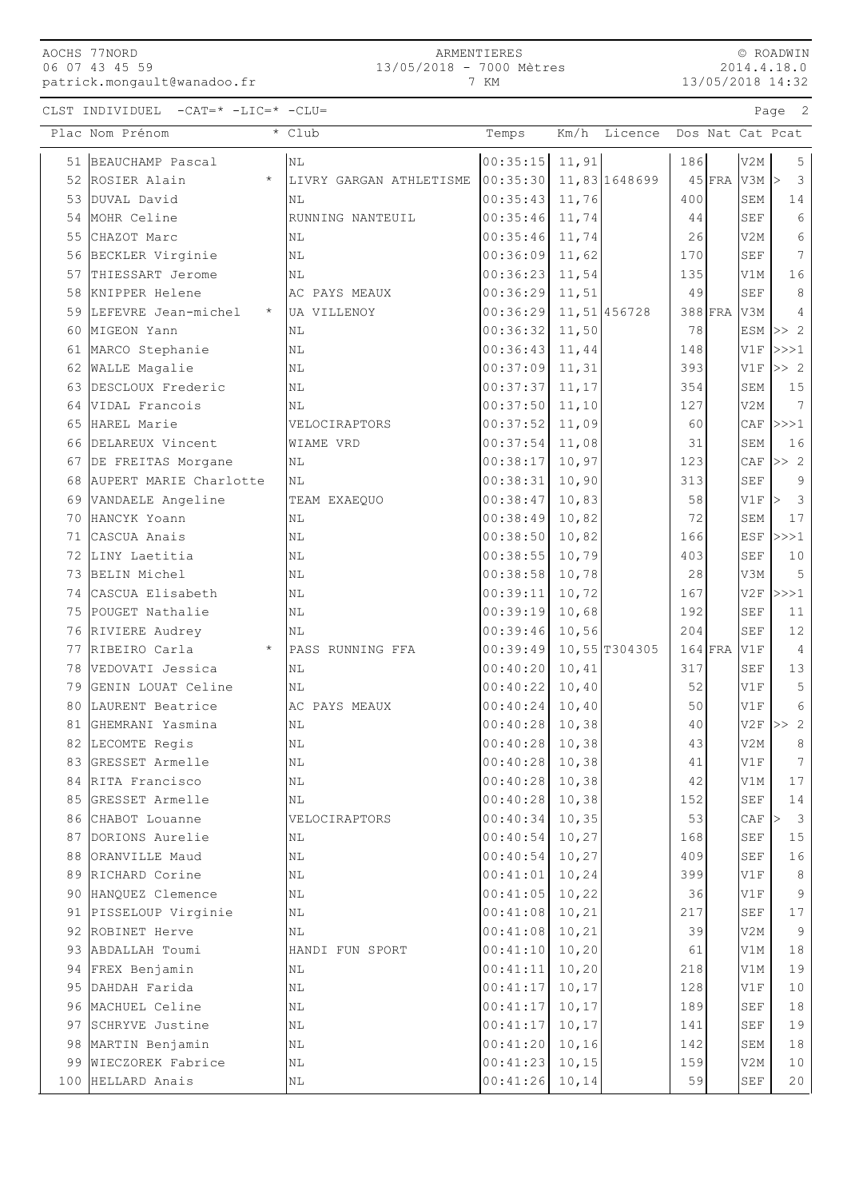|  | AOCHS 77NORD   |                             |
|--|----------------|-----------------------------|
|  | 06 07 43 45 59 |                             |
|  |                | patrick.mongault@wanadoo.fr |

© ROADWIN 2014.4.18.0 13/05/2018 14:32

CLST INDIVIDUEL -CAT=\* -LIC=\* -CLU= Page 2

|    | Plac Nom Prénom                | * Club                  | Temps            |        | Km/h Licence  |           |         |                      | Dos Nat Cat Pcat                    |
|----|--------------------------------|-------------------------|------------------|--------|---------------|-----------|---------|----------------------|-------------------------------------|
|    | 51 BEAUCHAMP Pascal            | NL                      | 00:35:15         | 11,91  |               | 186       |         | V2M                  | 5                                   |
| 52 | ROSIER Alain<br>$^\star$       | LIVRY GARGAN ATHLETISME | 00:35:30         |        | 11,83 1648699 |           |         | $45$ $FRA$ $V3M$     | $\overline{3}$<br>$\geq$            |
| 53 | DUVAL David                    | ΝL                      | 00:35:43         | 11,76  |               | 400       |         | SEM                  | 14                                  |
| 54 | MOHR Celine                    | RUNNING NANTEUIL        | 00:35:46         | 11,74  |               | 44        |         | SEF                  | 6                                   |
| 55 | CHAZOT Marc                    | NL                      | 00:35:46         | 11,74  |               | 26        |         | V <sub>2</sub> M     | 6                                   |
| 56 | BECKLER Virginie               | ΝL                      | 00:36:09         | 11,62  |               | 170       |         | SEF                  | 7                                   |
| 57 | THIESSART Jerome               | ΝL                      | 00:36:23         | 11,54  |               | 135       |         | V1M                  | 16                                  |
| 58 | KNIPPER Helene                 | AC PAYS MEAUX           | 00:36:29         | 11,51  |               | 49        |         | SEF                  | 8                                   |
| 59 | LEFEVRE Jean-michel<br>$\star$ | UA VILLENOY             | 00:36:29         |        | 11,51 456728  |           | 388 FRA | V3M                  | 4                                   |
| 60 | MIGEON Yann                    | ΝL                      | 00:36:32         | 11,50  |               | 78        |         | ESM                  | $>>$ 2                              |
| 61 | MARCO Stephanie                | ΝL                      | 00:36:43         | 11,44  |               | 148       |         | V1F                  | >>>1                                |
| 62 | WALLE Magalie                  | ΝL                      | 00:37:09         | 11,31  |               | 393       |         | V1F                  | >> 2                                |
| 63 | DESCLOUX Frederic              | NL                      | 00:37:37         | 11,17  |               | 354       |         | SEM                  | 15                                  |
| 64 | VIDAL Francois                 | ΝL                      | 00:37:50         | 11, 10 |               | 127       |         | V2M                  | 7                                   |
| 65 | HAREL Marie                    | VELOCIRAPTORS           | 00:37:52         | 11,09  |               | 60        |         | CAF                  | >>>1                                |
| 66 | DELAREUX Vincent               | WIAME VRD               | 00:37:54         | 11,08  |               | 31        |         | SEM                  | 16                                  |
| 67 | DE FREITAS Morgane             | ΝL                      | 00:38:17         | 10,97  |               | 123       |         | CAF                  | >> 2                                |
| 68 | AUPERT MARIE Charlotte         | ΝL                      | 00:38:31         | 10,90  |               | 313       |         | SEF                  | 9                                   |
| 69 | VANDAELE Angeline              | TEAM EXAEQUO            | 00:38:47         | 10,83  |               | 58        |         | V1F                  | $\geq$<br>$\overline{\mathbf{3}}$   |
| 70 | HANCYK Yoann                   | ΝL                      | 00:38:49         | 10,82  |               | 72        |         | SEM                  | 17                                  |
| 71 | CASCUA Anais                   | N <sub>L</sub>          | 00:38:50         | 10,82  |               | 166       |         | <b>ESF</b>           | >>>1                                |
| 72 | LINY Laetitia                  | NL                      | 00:38:55         | 10,79  |               | 403       |         | <b>SEF</b>           | 10                                  |
| 73 | BELIN Michel                   | NL                      | 00:38:58         | 10,78  |               | 28        |         | V3M                  | 5                                   |
| 74 | CASCUA Elisabeth               | ΝL                      | 00:39:11         | 10,72  |               | 167       |         | V2F                  | >>>1                                |
| 75 | POUGET Nathalie                | ΝL                      | 00:39:19         | 10,68  |               | 192       |         | SEF                  | 11                                  |
| 76 | RIVIERE Audrey                 | NL                      | 00:39:46         | 10,56  |               | 204       |         | SEF                  | 12                                  |
| 77 | $\star$<br>RIBEIRO Carla       | PASS RUNNING FFA        | 00:39:49         |        | 10,55 T304305 | $164$ FRA |         | V1F                  | $\overline{4}$                      |
|    | 78 VEDOVATI Jessica            | NL                      | 00:40:20         | 10,41  |               | 317       |         | SEF                  | 13                                  |
| 79 | GENIN LOUAT Celine             | ΝL                      | 00:40:22         | 10,40  |               | 52        |         | V1F                  | 5                                   |
| 80 | LAURENT Beatrice               | AC PAYS MEAUX           | 00:40:24         | 10,40  |               | 50        |         | V1F                  | 6                                   |
| 81 | GHEMRANI Yasmina               | NL                      | 00:40:28         | 10, 38 |               | 40        |         | V2F                  | >> 2                                |
| 82 | LECOMTE Regis                  | ΝL                      | 00:40:28         | 10,38  |               | 43        |         | V2M                  | 8                                   |
|    | 83 GRESSET Armelle             | $\rm NL$                | $00:40:28$ 10,38 |        |               | 41        |         | V1F                  | $7\phantom{.}$                      |
|    | 84 RITA Francisco              | NL                      | 00:40:28         | 10,38  |               | 42        |         | V1M                  | 17                                  |
|    | 85 GRESSET Armelle             | $\rm NL$                | 00:40:28         | 10,38  |               | 152       |         | $\operatorname{SEF}$ | $1\,4$                              |
|    | 86 CHABOT Louanne              | VELOCIRAPTORS           | 00:40:34         | 10, 35 |               | 53        |         | CAF                  | $\overline{\mathbf{3}}$<br>$\rm{>}$ |
| 87 | DORIONS Aurelie                | ΝL                      | 00:40:54         | 10,27  |               | 168       |         | <b>SEF</b>           | $1\,5$                              |
| 88 | ORANVILLE Maud                 | $\rm NL$                | 00:40:54         | 10,27  |               | 409       |         | <b>SEF</b>           | 16                                  |
| 89 | RICHARD Corine                 | ΝL                      | 00:41:01         | 10, 24 |               | 399       |         | V1F                  | 8                                   |
| 90 | HANQUEZ Clemence               | ΝL                      | 00:41:05         | 10, 22 |               | 36        |         | V1F                  | 9                                   |
| 91 | PISSELOUP Virginie             | $\rm NL$                | 00:41:08         | 10, 21 |               | 217       |         | SEF                  | 17                                  |
|    | 92 ROBINET Herve               | ΝL                      | 00:41:08         | 10,21  |               | 39        |         | V2M                  | 9                                   |
|    | 93 ABDALLAH Toumi              | HANDI FUN SPORT         | 00:41:10         | 10, 20 |               | 61        |         | V1M                  | $1\,8$                              |
|    | 94 FREX Benjamin               | ΝL                      | 00:41:11         | 10, 20 |               | 218       |         | V1M                  | 19                                  |
|    | 95 DAHDAH Farida               | ΝL                      | 00:41:17         | 10, 17 |               | 128       |         | V1F                  | $10$                                |
|    | 96 MACHUEL Celine              | $\rm NL$                | 00:41:17         | 10, 17 |               | 189       |         | <b>SEF</b>           | $1\,8$                              |
| 97 | SCHRYVE Justine                | ΝL                      | 00:41:17         | 10, 17 |               | 141       |         | SEF                  | 19                                  |
| 98 | MARTIN Benjamin                | $\rm NL$                | 00:41:20         | 10, 16 |               | 142       |         | SEM                  | $1\,8$                              |
| 99 | WIECZOREK Fabrice              | ΝL                      | 00:41:23         | 10, 15 |               | 159       |         | V2M                  | $10$                                |
|    | 100 HELLARD Anais              | ΝL                      | 00:41:26         | 10, 14 |               | 59        |         | $\operatorname{SEF}$ | $20$                                |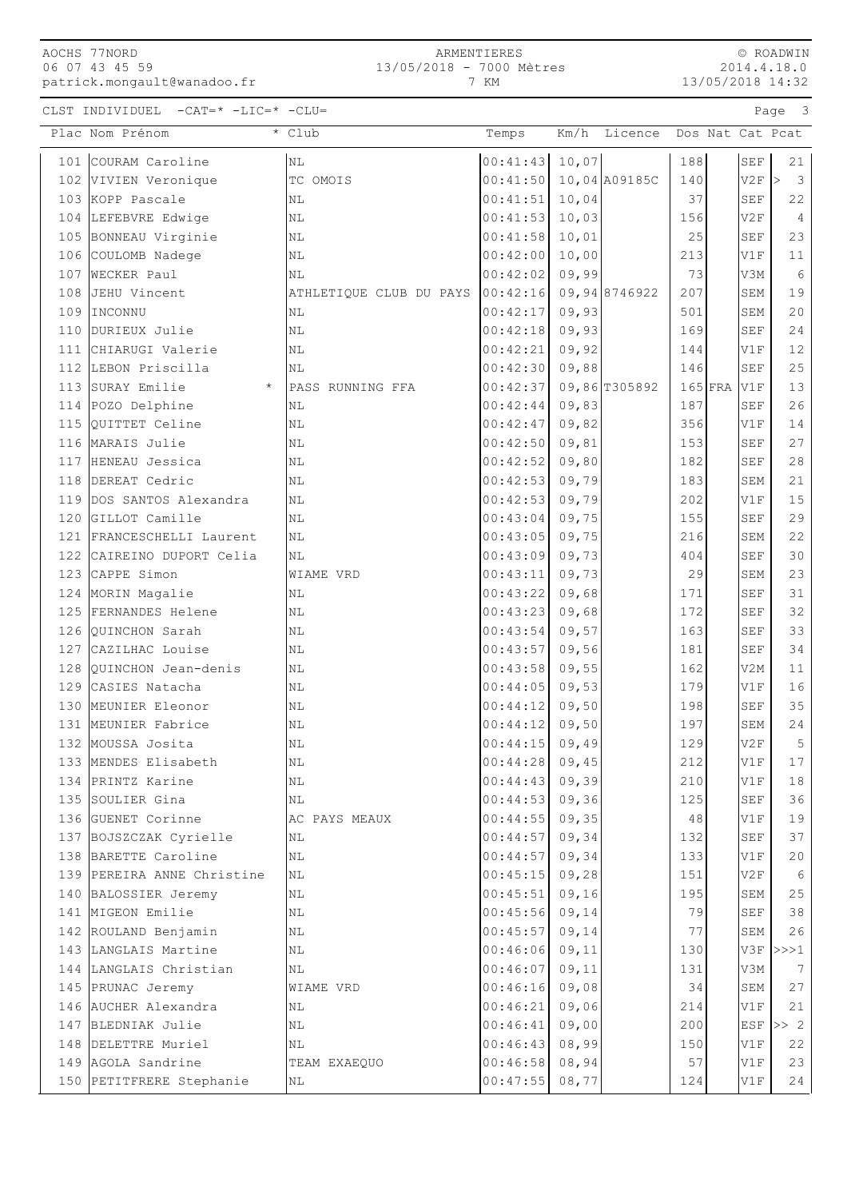## AOCHS 77NORD 06 07 43 45 59 patrick.mongault@wanadoo.fr

## ARMENTIERES 13/05/2018 - 7000 Mètres

7 KM

© ROADWIN 2014.4.18.0 13/05/2018 14:32

CLST INDIVIDUEL -CAT=\* -LIC=\* -CLU= Page 3

| Plac Nom Prénom             | * Club                  | Temps                    |        | Km/h Licence |     |           |                      | Dos Nat Cat Pcat                        |
|-----------------------------|-------------------------|--------------------------|--------|--------------|-----|-----------|----------------------|-----------------------------------------|
| 101 COURAM Caroline         | $\rm NL$                | $00:41:43$ 10,07         |        |              | 188 |           | SEF                  | 21                                      |
| 102 VIVIEN Veronique        | TC OMOIS                | $00:41:50$ 10,04 A09185C |        |              | 140 |           | V2F                  | $\overline{\mathbf{3}}$<br>$\mathsf{I}$ |
| 103 KOPP Pascale            | N <sub>L</sub>          | 00:41:51                 | 10,04  |              | 37  |           | <b>SEF</b>           | 22                                      |
| 104 LEFEBVRE Edwige         | N <sub>L</sub>          | $00:41:53$ 10,03         |        |              | 156 |           | V2F                  | $\overline{4}$                          |
| 105 BONNEAU Virginie        | N <sub>L</sub>          | 00:41:58                 | 10,01  |              | 25  |           | <b>SEF</b>           | 23                                      |
| 106 COULOMB Nadege          | N <sub>L</sub>          | 00:42:00                 | 10,00  |              | 213 |           | V1F                  | 11                                      |
| 107 WECKER Paul             | NL                      | 00:42:02                 | 09,99  |              | 73  |           | V3M                  | 6                                       |
| 108 JEHU Vincent            | ATHLETIQUE CLUB DU PAYS | $00:42:16$ 09,948746922  |        |              | 207 |           | SEM                  | 19                                      |
| 109 IINCONNU                | NL                      | 00:42:17                 | 09,93  |              | 501 |           | SEM                  | 20                                      |
| 110 DURIEUX Julie           | NL                      | 00:42:18                 | 09,93  |              | 169 |           | $\operatorname{SEF}$ | 24                                      |
| 111 CHIARUGI Valerie        | NL                      | 00:42:21                 | 09, 92 |              | 144 |           | V1F                  | $12$                                    |
| 112 LEBON Priscilla         | NL                      | 00:42:30                 | 09,88  |              | 146 |           | <b>SEF</b>           | 25                                      |
| 113 SURAY Emilie<br>$\star$ | PASS RUNNING FFA        | $00:42:37$ 09,86 T305892 |        |              |     | $165$ FRA | $\rm{V1F}$           | 13                                      |
| 114 POZO Delphine           | NL                      | $00:42:44$ 09,83         |        |              | 187 |           | SEF                  | 26                                      |
| 115 QUITTET Celine          | <b>NL</b>               | 00:42:47                 | 09,82  |              | 356 |           | V1F                  | 14                                      |
| 116 MARAIS Julie            | <b>NL</b>               | 00:42:50                 | 09,81  |              | 153 |           | <b>SEF</b>           | 27                                      |
| 117 HENEAU Jessica          | <b>NL</b>               | 00:42:52                 | 09,80  |              | 182 |           | <b>SEF</b>           | 28                                      |
| 118 DEREAT Cedric           | NL                      | 00:42:53                 | 09,79  |              | 183 |           | SEM                  | 21                                      |
| 119 DOS SANTOS Alexandra    | $\rm NL$                | 00:42:53                 | 09,79  |              | 202 |           | V1F                  | 15                                      |
| 120 GILLOT Camille          | N <sub>L</sub>          | 00:43:04                 | 09,75  |              | 155 |           | <b>SEF</b>           | 29                                      |
| 121 FRANCESCHELLI Laurent   | N <sub>L</sub>          | 00:43:05                 | 09,75  |              | 216 |           | <b>SEM</b>           | 22                                      |
| 122 CAIREINO DUPORT Celia   | NL                      | 00:43:09                 | 09,73  |              | 404 |           | <b>SEF</b>           | 30                                      |
| 123 CAPPE Simon             | WIAME VRD               | 00:43:11                 | 09,73  |              | 29  |           | SEM                  | 23                                      |
| 124 MORIN Magalie           | NL                      | $00:43:22$ 09,68         |        |              | 171 |           | SEF                  | 31                                      |
| 125 FERNANDES Helene        | N <sub>L</sub>          | 00:43:23                 | 09,68  |              | 172 |           | <b>SEF</b>           | 32                                      |
| 126 QUINCHON Sarah          | N <sub>L</sub>          | $00:43:54$ 09,57         |        |              | 163 |           | <b>SEF</b>           | 33                                      |
| 127 CAZILHAC Louise         | NL                      | 00:43:57                 | 09,56  |              | 181 |           | <b>SEF</b>           | 34                                      |
| 128 OUINCHON Jean-denis     | <b>NL</b>               | 00:43:58                 | 09,55  |              | 162 |           | V2M                  | 11                                      |
| 129 CASIES Natacha          | <b>NL</b>               | 00:44:05                 | 09,53  |              | 179 |           | V1F                  | 16                                      |
| 130 MEUNIER Eleonor         | <b>NL</b>               | 00:44:12                 | 09,50  |              | 198 |           | <b>SEF</b>           | 35                                      |
| 131 MEUNIER Fabrice         | <b>NL</b>               | 00:44:12                 | 09,50  |              | 197 |           | <b>SEM</b>           | 24                                      |
| 132 MOUSSA Josita           | N <sub>L</sub>          | 00:44:15                 | 09,49  |              | 129 |           | V2F                  | 5                                       |
| 133 MENDES Elisabeth        | ΝL                      | 00:44:28                 | 09,45  |              | 212 |           | V1F                  | 17                                      |
| 134 PRINTZ Karine           | N <sub>L</sub>          | 00:44:43                 | 09,39  |              | 210 |           | V1F                  | 18                                      |
| 135 SOULIER Gina            | NL                      | 00:44:53                 | 09,36  |              | 125 |           | <b>SEF</b>           | 36                                      |
| 136 GUENET Corinne          | AC PAYS MEAUX           | 00:44:55                 | 09, 35 |              | 48  |           | V1F                  | 19                                      |
| 137 BOJSZCZAK Cyrielle      | NL                      | 00:44:57                 | 09, 34 |              | 132 |           | <b>SEF</b>           | 37                                      |
| 138 BARETTE Caroline        | ΝL                      | 00:44:57                 | 09, 34 |              | 133 |           | V1F                  | 20                                      |
| 139 PEREIRA ANNE Christine  | N <sub>L</sub>          | $00:45:15$ 09,28         |        |              | 151 |           | V2F                  | 6                                       |
| 140 BALOSSIER Jeremy        | N <sub>L</sub>          | 00:45:51                 | 09,16  |              | 195 |           | SEM                  | 25                                      |
| 141 MIGEON Emilie           | NL                      | $00:45:56$ 09,14         |        |              | 79  |           | <b>SEF</b>           | 38                                      |
| 142 ROULAND Benjamin        | ΝL                      | 00:45:57                 | 09,14  |              | 77  |           | SEM                  | 26                                      |
| 143 LANGLAIS Martine        | ΝL                      | 00:46:06                 | 09,11  |              | 130 |           | V3F                  | >>>1                                    |
| 144 LANGLAIS Christian      | NL                      | 00:46:07                 | 09,11  |              | 131 |           | V3M                  | 7                                       |
| 145 PRUNAC Jeremy           | WIAME VRD               | 00:46:16                 | 09,08  |              | 34  |           | SEM                  | 27                                      |
| 146 AUCHER Alexandra        | ΝL                      | 00:46:21                 | 09,06  |              | 214 |           | V1F                  | 21                                      |
| 147 BLEDNIAK Julie          | ΝL                      | 00:46:41                 | 09,00  |              | 200 |           | ESF                  | >> 2                                    |
| 148 DELETTRE Muriel         | ΝL                      | $00:46:43$ 08,99         |        |              | 150 |           | V1F                  | 22                                      |
| 149 AGOLA Sandrine          | TEAM EXAEQUO            | $00:46:58$ 08,94         |        |              | 57  |           | V1F                  | 23                                      |
| 150 PETITFRERE Stephanie    | NL                      | 00:47:55                 | 08,77  |              | 124 |           | V1F                  | 24                                      |